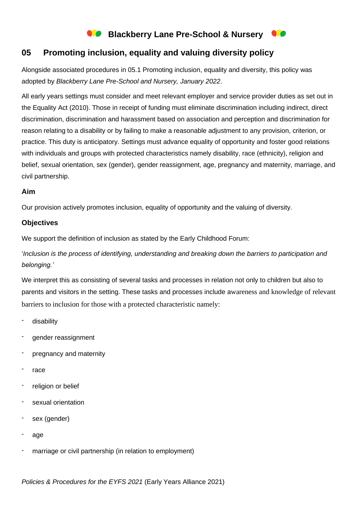# **Blackberry Lane Pre-School & Nursery**

## **05 Promoting inclusion, equality and valuing diversity policy**

Alongside associated procedures in 05.1 Promoting inclusion, equality and diversity, this policy was adopted by *Blackberry Lane Pre-School and Nursery, January 2022*.

All early years settings must consider and meet relevant employer and service provider duties as set out in the Equality Act (2010). Those in receipt of funding must eliminate discrimination including indirect, direct discrimination, discrimination and harassment based on association and perception and discrimination for reason relating to a disability or by failing to make a reasonable adjustment to any provision, criterion, or practice. This duty is anticipatory. Settings must advance equality of opportunity and foster good relations with individuals and groups with protected characteristics namely disability, race (ethnicity), religion and belief, sexual orientation, sex (gender), gender reassignment, age, pregnancy and maternity, marriage, and civil partnership.

### **Aim**

Our provision actively promotes inclusion, equality of opportunity and the valuing of diversity.

### **Objectives**

We support the definition of inclusion as stated by the Early Childhood Forum:

'*Inclusion is the process of identifying, understanding and breaking down the barriers to participation and belonging.'*

We interpret this as consisting of several tasks and processes in relation not only to children but also to parents and visitors in the setting. These tasks and processes include awareness and knowledge of relevant barriers to inclusion for those with a protected characteristic namely:

- disability
- gender reassignment
- pregnancy and maternity
- race
- religion or belief
- sexual orientation
- sex (gender)
- age
- marriage or civil partnership (in relation to employment)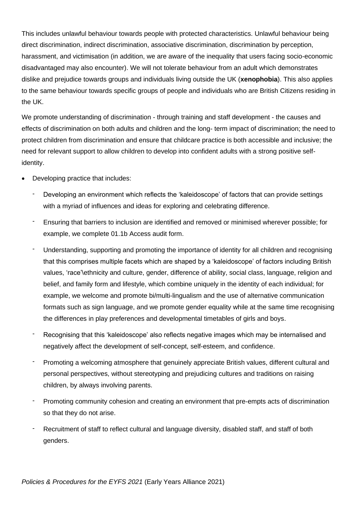This includes unlawful behaviour towards people with protected characteristics. Unlawful behaviour being direct discrimination, indirect discrimination, associative discrimination, discrimination by perception, harassment, and victimisation (in addition, we are aware of the inequality that users facing socio-economic disadvantaged may also encounter). We will not tolerate behaviour from an adult which demonstrates dislike and prejudice towards groups and individuals living outside the UK (**xenophobia**). This also applies to the same behaviour towards specific groups of people and individuals who are British Citizens residing in the UK.

We promote understanding of discrimination - through training and staff development - the causes and effects of discrimination on both adults and children and the long- term impact of discrimination; the need to protect children from discrimination and ensure that childcare practice is both accessible and inclusive; the need for relevant support to allow children to develop into confident adults with a strong positive selfidentity.

- Developing practice that includes:
	- Developing an environment which reflects the 'kaleidoscope' of factors that can provide settings with a myriad of influences and ideas for exploring and celebrating difference.
	- Ensuring that barriers to inclusion are identified and removed or minimised wherever possible; for example, we complete 01.1b Access audit form.
	- Understanding, supporting and promoting the importance of identity for all children and recognising that this comprises multiple facets which are shaped by a 'kaleidoscope' of factors including British values, 'race'\ethnicity and culture, gender, difference of ability, social class, language, religion and belief, and family form and lifestyle, which combine uniquely in the identity of each individual; for example, we welcome and promote bi/multi-lingualism and the use of alternative communication formats such as sign language, and we promote gender equality while at the same time recognising the differences in play preferences and developmental timetables of girls and boys.
	- Recognising that this 'kaleidoscope' also reflects negative images which may be internalised and negatively affect the development of self-concept, self-esteem, and confidence.
	- Promoting a welcoming atmosphere that genuinely appreciate British values, different cultural and personal perspectives, without stereotyping and prejudicing cultures and traditions on raising children, by always involving parents.
	- Promoting community cohesion and creating an environment that pre-empts acts of discrimination so that they do not arise.
	- Recruitment of staff to reflect cultural and language diversity, disabled staff, and staff of both genders.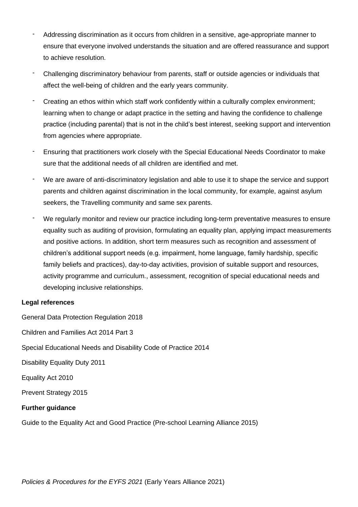- Addressing discrimination as it occurs from children in a sensitive, age-appropriate manner to ensure that everyone involved understands the situation and are offered reassurance and support to achieve resolution.
- Challenging discriminatory behaviour from parents, staff or outside agencies or individuals that affect the well-being of children and the early years community.
- Creating an ethos within which staff work confidently within a culturally complex environment; learning when to change or adapt practice in the setting and having the confidence to challenge practice (including parental) that is not in the child's best interest, seeking support and intervention from agencies where appropriate.
- Ensuring that practitioners work closely with the Special Educational Needs Coordinator to make sure that the additional needs of all children are identified and met.
- We are aware of anti-discriminatory legislation and able to use it to shape the service and support parents and children against discrimination in the local community, for example, against asylum seekers, the Travelling community and same sex parents.
- We regularly monitor and review our practice including long-term preventative measures to ensure equality such as auditing of provision, formulating an equality plan, applying impact measurements and positive actions. In addition, short term measures such as recognition and assessment of children's additional support needs (e.g. impairment, home language, family hardship, specific family beliefs and practices), day-to-day activities, provision of suitable support and resources, activity programme and curriculum., assessment, recognition of special educational needs and developing inclusive relationships.

### **Legal references**

General Data Protection Regulation 2018

Children and Families Act 2014 Part 3

Special Educational Needs and Disability Code of Practice 2014

Disability Equality Duty 2011

Equality Act 2010

Prevent Strategy 2015

### **Further guidance**

Guide to the Equality Act and Good Practice (Pre-school Learning Alliance 2015)

*Policies & Procedures for the EYFS 2021* (Early Years Alliance 2021)